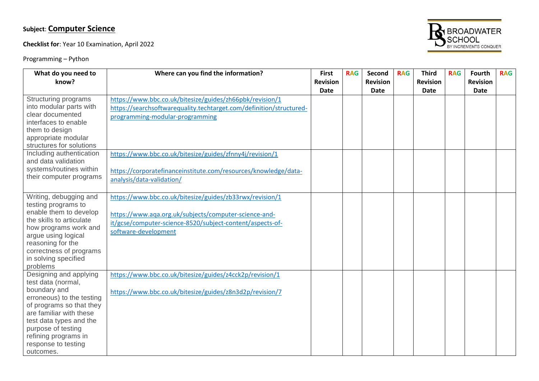# **Subject**: **Computer Science**

**Checklist for**: Year 10 Examination, April 2022

Programming – Python



| What do you need to                                                                                                                                                                                                                                                       | Where can you find the information?                                                                                                                                                                                                                                                                                            | <b>First</b>            | <b>RAG</b> | Second                  | <b>RAG</b> | <b>Third</b>            | <b>RAG</b> | Fourth                  | <b>RAG</b> |
|---------------------------------------------------------------------------------------------------------------------------------------------------------------------------------------------------------------------------------------------------------------------------|--------------------------------------------------------------------------------------------------------------------------------------------------------------------------------------------------------------------------------------------------------------------------------------------------------------------------------|-------------------------|------------|-------------------------|------------|-------------------------|------------|-------------------------|------------|
| know?                                                                                                                                                                                                                                                                     |                                                                                                                                                                                                                                                                                                                                | <b>Revision</b><br>Date |            | <b>Revision</b><br>Date |            | <b>Revision</b><br>Date |            | <b>Revision</b><br>Date |            |
| Structuring programs<br>into modular parts with<br>clear documented<br>interfaces to enable<br>them to design<br>appropriate modular<br>structures for solutions<br>Including authentication<br>and data validation<br>systems/routines within<br>their computer programs | https://www.bbc.co.uk/bitesize/guides/zh66pbk/revision/1<br>https://searchsoftwarequality.techtarget.com/definition/structured-<br>programming-modular-programming<br>https://www.bbc.co.uk/bitesize/guides/zfnny4j/revision/1<br>https://corporatefinanceinstitute.com/resources/knowledge/data-<br>analysis/data-validation/ |                         |            |                         |            |                         |            |                         |            |
| Writing, debugging and<br>testing programs to<br>enable them to develop<br>the skills to articulate<br>how programs work and<br>argue using logical<br>reasoning for the<br>correctness of programs<br>in solving specified<br>problems                                   | https://www.bbc.co.uk/bitesize/guides/zb33rwx/revision/1<br>https://www.aqa.org.uk/subjects/computer-science-and-<br>it/gcse/computer-science-8520/subject-content/aspects-of-<br>software-development                                                                                                                         |                         |            |                         |            |                         |            |                         |            |
| Designing and applying<br>test data (normal,<br>boundary and<br>erroneous) to the testing<br>of programs so that they<br>are familiar with these<br>test data types and the<br>purpose of testing<br>refining programs in<br>response to testing<br>outcomes.             | https://www.bbc.co.uk/bitesize/guides/z4cck2p/revision/1<br>https://www.bbc.co.uk/bitesize/guides/z8n3d2p/revision/7                                                                                                                                                                                                           |                         |            |                         |            |                         |            |                         |            |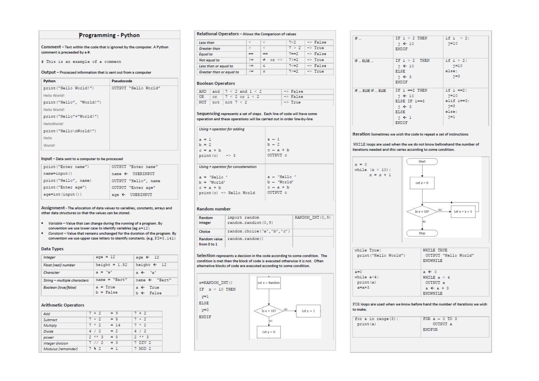## Programming - Python

Comment - Text within the code that is ignored by the computer. A Python comment is preceeded by a #.

# This is an example of a comment

### Output - Processed information that is sent out from a computer

| Python                    | Pseudocode           |
|---------------------------|----------------------|
| print ("Hello World!")    | OUTPUT "Hello World" |
| Hello World!              |                      |
| print ("Hello", "World!") |                      |
| Hello World!              |                      |
| print ("Hello"+"World!")  |                      |
| HelloWorld!               |                      |
| print ("Hello\nWorld!")   |                      |
| Hello                     |                      |
| World <sup>1</sup>        |                      |
|                           |                      |

### Input - Data sent to a computer to be processed

| print ("Enter name")  | OUTPUT "Enter name"         |
|-----------------------|-----------------------------|
| $name=input()$        | $name \leftarrow$ USERINPUT |
| print ("Hello", name) | OUTPUT "Hello", name        |
| print ("Enter age")   | OUTPUT "Enter age"          |
| $aqe=int (input())$   | $age \leftarrow$ USERINPUT  |

Assignment - The allocation of data values to variables, constants, arrays and other data structures so that the values can be stored.

- Variable Value that can change during the running of a program. By convention we use lower case to identify variables (eg a=12)
- Constant Value that remains unchanged for the duration of the program. By convention we use upper case letters to identify constants. (e.g. PI=3.141)

#### Data Types

| Integer                      | $age = 12$                | age $\leftarrow$ 12                         |
|------------------------------|---------------------------|---------------------------------------------|
| Float (real) number          | height = $1.52$           | height $\leftarrow$ 12                      |
| Character                    | $a = 'a'$                 | a ← 'a'                                     |
| String - multiple characters | $name = "Bart"$           | name $\leftarrow$ "Bart"                    |
| Boolean (true/false)         | $a = True$<br>$b = False$ | $a \leftarrow True$<br>$b \leftarrow$ False |

## **Arithmetic Operators**

| Add                 | $7 + 2$   | - = 9  | $7 + 2$   |
|---------------------|-----------|--------|-----------|
| Subtract            | $7 - 2$   | $= 5$  | $7 - 2$   |
| Multiply            | $7 * 2$   | $= 14$ | $7 * 2$   |
| Divide              | 4/2       | $= 2$  | 4 / 2     |
| power               | $2 * * 3$ | $= 8$  | $2 * * 3$ |
| Integer division    | 7/1/2     | $= 3$  | 7 DIV 2   |
| Modulus (remainder) | 7 8 2     | $= 1$  | 7 MOD 2   |

## Relational Operators - Allows the Comparison of values

| Less than                | ×.            | <                    | 7<2      | $->$ False         |
|--------------------------|---------------|----------------------|----------|--------------------|
| <b>Greater than</b>      | $\Rightarrow$ | Ł                    | 7 > 2    | $\Rightarrow$ True |
| <b>Equal</b> to          | ==            | ==                   | $7 = -2$ | $->$ False         |
| Not equal to             | '=            | $or \Leftrightarrow$ | $71 - 2$ | $\Rightarrow$ True |
| Less than or equal to    | <=            | <                    | $7 < -2$ | $->$ False         |
| Greater than or equal to | $\infty$      | ⇒                    | $7 > -2$ | $\rightarrow$ True |

## **Boolean Operators**

|  | AND and $7 < 2$ and $1 < 2$ | $\rightarrow$ False |
|--|-----------------------------|---------------------|
|  | OR or $7 < 2$ or $1 < 2$    | $\rightarrow$ False |
|  | NOT   $not$   $not$ 7 < 2   | $\Rightarrow$ True  |

### Sequencing represents a set of steps. Each line of code will have some operation and these operations will be carried out in order line-by-line

| Using + operator for adding        |               |
|------------------------------------|---------------|
| $a = 1$                            | $a - 1$       |
| $b = 2$                            | $b - 2$       |
| $c = a + b$                        | $c - a + b$   |
| $print(c)$ -> 3                    | OUTPUT c      |
| Using + operator for concatenation |               |
| $a = 'Hello'$                      | $a + 'Hello'$ |
| $b = 'Wor1d'$                      | $b -$ 'World' |
| $c = a + b$                        | $c - a + b$   |
| print(c) -> Hello World            | OUTPUT c      |

### **Random number**

| Random<br>integer           | import random<br>random.randint (0,9) | RANDOM INT(0,9) |
|-----------------------------|---------------------------------------|-----------------|
| Choice                      | random.choice('a','b','c')            |                 |
| Random value<br>from 0 to 1 | random.random()                       |                 |

Selection represents a decision in the code according to some condition. The condition is met then the block of code is executed otherwise it is not. Often alternative blocks of code are executed according to some condition.



| IF                | IF $i > 2$ THEN<br>$j \leftarrow 10$<br>ENDIF                                                                                      | if $i > 2$ :<br>$1 = 10$                                            |
|-------------------|------------------------------------------------------------------------------------------------------------------------------------|---------------------------------------------------------------------|
| IF  ELSE          | $IF i > 2$ THEN<br>$\gamma \leftarrow 10$<br>ELSE<br>$\uparrow$ $\leftarrow$ 3<br><b>ENDIF</b>                                     | if $i > 2$ :<br>$j=10$<br>else:<br>$-i=3$                           |
| IF  ELSE IF  ELSE | $IF i == 2 THEN$<br>$i \leftarrow 10$<br>ELSE IF $i == 3$<br>$\uparrow$ $\leftarrow$ 3<br>ELSE<br>$j \leftarrow 1$<br><b>ENDIF</b> | if $i == 2$ :<br>$j = 10$<br>elif i==3:<br>$-i=3$<br>else:<br>$i=1$ |

### Iteration Sometimes we wish the code to repeat a set of instructions

WHILE loops are used when the we do not know beforehand the number of iterations needed and this varies according to some condition.



| print ("Hello World")                 | OUTPUT "Hello World"<br><b>ENDWHILE</b>       |
|---------------------------------------|-----------------------------------------------|
| $a=0$<br>while $a < 4$ :<br>print (a) | $a \leftarrow 0$<br>WHILE $a < 4$<br>OUTPUT a |
| $a=a+3$                               | $a \leftarrow a + 3$<br><b>ENDWHILE</b>       |

#### FOR loops are used when we know before hand the number of iterations we wish to make.

| for a in range $(3)$ :<br>print (a) | FOR $a - 0$ TO 3<br>OUTPUT a<br><b>ENDFOR</b> |
|-------------------------------------|-----------------------------------------------|
|                                     |                                               |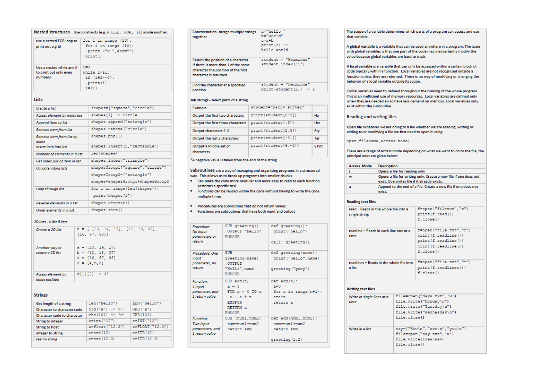| use a nested FOR loop to          |                           | for i in range (10):             |  |  |
|-----------------------------------|---------------------------|----------------------------------|--|--|
|                                   | for $i$ in range $(10)$ : |                                  |  |  |
| print out a grid                  |                           | print ("x ", end="")             |  |  |
|                                   |                           | print()                          |  |  |
|                                   |                           |                                  |  |  |
| Use a nested while and if         | $i = 0$                   |                                  |  |  |
| to print out only even            |                           | while $i < 51$ :                 |  |  |
| numbers                           |                           | if (i%2==0):                     |  |  |
|                                   |                           | print (i)                        |  |  |
|                                   |                           | $i = i + 1$                      |  |  |
| Lists                             |                           |                                  |  |  |
| Create a list                     |                           | shapes=["square", "circle"]      |  |  |
| Access element by index pos       |                           | shapes $[1]$ -> circle           |  |  |
| Append item to list               |                           | shapes.append("triangle")        |  |  |
| Remove item from list             |                           | shapes.remove("circle")          |  |  |
| Remove item from list by<br>index |                           | shapes.pop(1)                    |  |  |
| <b>Insert item into list</b>      |                           | shapes.insert(2,"rectangle")     |  |  |
| Number of elements in a list      |                           | len(shapes)                      |  |  |
| Get index pos of item in list     |                           | shapes.index("triangle")         |  |  |
| <b>Concatenating lists</b>        |                           | shapesGroupl["square", "circle"] |  |  |
|                                   |                           | shapesGroup2=["triangle"]        |  |  |
|                                   |                           | shapes=shapesGroupl+shapesGroup2 |  |  |
| Loop through list                 |                           | for i in range (len (shapes)):   |  |  |
|                                   |                           | print(shapes[i])                 |  |  |
| Reverse elements in a list        |                           | shapes.reverse()                 |  |  |
|                                   |                           |                                  |  |  |

| Create a 2D list                           | $d = [ [23, 14, 17], [12, 18, 37],$<br>[16, 67, 83]]                              |
|--------------------------------------------|-----------------------------------------------------------------------------------|
| Another way to<br>create a 2D list         | $a = [23, 14, 17]$<br>$b = [12, 18, 37]$<br>$c = [16, 67, 83]$<br>$d = [a, b, c]$ |
| <b>Access element by</b><br>index position | $d[1][2] \rightarrow 37$                                                          |

| Get length of a string             | len("Hello")              | LEN ("Hello")    |
|------------------------------------|---------------------------|------------------|
| Character to character code        | $ord("a") \Rightarrow 97$ | ORD('a")         |
| <b>Character code to character</b> | chr $(101)$ -> 'e'        | CHR (101)        |
| <b>String to integer</b>           | $a=int("12")$             | $a = INT("12")$  |
| <b>String to float</b>             | a=float ("12.3")          | a=FLOAT ("12.3") |
| integer to string                  | $a=str(12)$               | $a = STR(12)$    |
| real to string                     | $a = str(12.3)$           | $a = STR(12.3)$  |
|                                    |                           |                  |

| <b>Concatenation -merge multiple strings</b><br>together                                                                                   | $a="b=$ "hello"<br>$b="word"$<br>$c = a + b$<br>$print(c)$ $\Rightarrow$<br>hello world |
|--------------------------------------------------------------------------------------------------------------------------------------------|-----------------------------------------------------------------------------------------|
| Return the position of a character<br>If there is more than 1 of the same<br>character the position of the first<br>character is returned. | $student = "Hermione"$<br>student.index('i')                                            |
| Find the character at a specified<br>position                                                                                              | $student = "Hermione"$<br>print (student $[2]$ ) $\rightarrow$ r                        |

### sub strings - select parts of a string

| <b>Example</b>                       | student="Harry Potter"        |              |
|--------------------------------------|-------------------------------|--------------|
| Output the first two characters      | print (student [0:2])         | Ha           |
| Output the first three characters    | print (student[:3])           | Har          |
| Output characters 2-4                | print (student [2:5])         | Rry          |
| Output the last 3 characters         | print (student [-3:])         | Ter          |
| Output a middle set of<br>characters | $print(\text{student}[4:-3])$ | <b>v</b> Pot |

## \*A negative value is taken from the end of the string.

Subroutines are a way of managing and organising programs in a structured way. This allows us to break up programs into smaller chunks.

- . Can make the code more modular and more easy to read as each function performs a specific task.
- . Functions can be reused within the code without having to write the code multiple times.
- . Procedures are subroutines that do not return values
- . Functions are subroutines that have both input and output

| Procedure:<br>No input<br>parameters or<br>return                  | SUB greeting()<br>$OUPPIIT$ "hello"<br><b>ENDSUB</b>                                                          | $def$ qreeting():<br>print ("hello")<br>call: greeting()                       |
|--------------------------------------------------------------------|---------------------------------------------------------------------------------------------------------------|--------------------------------------------------------------------------------|
| Procedure: One<br>input<br>parameter, no<br>return                 | <b>SUB</b><br>greeting (name)<br><b>OUTPUT</b><br>"Hello", name<br><b>ENDSUR</b>                              | def greeting(name):<br>print ("Hello", name)<br>greeting ("grey")              |
| <b>Function:</b><br>1 input<br>parameter, and<br>1 return value    | SUB add (n)<br>$a - 0$<br>$FOR = -0 TO n$<br>$a - a + n$<br><b>ENDFOR</b><br><b>RETURN a</b><br><b>ENDSUB</b> | $def add(n)$ :<br>$a=0$<br>for a in range $(n+1)$ :<br>$a = a + n$<br>return a |
| <b>Function:</b><br>Two input<br>parameters, and<br>1 return value | SUB (numl, num2)<br>$sum = num1 + num2$<br>return sum                                                         | def add (numl, num2) :<br>$sum = num1 + num2$<br>return sum<br>green(1,2)      |

The scope of a variable determines which parts of a program can access and use that variable.

A global variable is a variable that can be used anywhere in a program. The issue with global variables is that one part of the code may inadvertently modify the value because global variables are hard to track.

A local variable is a variable that can only be accessed within a certain block of code typically within a function. Local variables are not recognized outside a function unless they are returned. There is no way of modifying or changing the behavior of a local variable outside its scope.

Global variables need to defined throughout the running of the whole program. This is an inefficient use of memory resources. Local variables are defined only when they are needed an so have less demand on memory. Local variables only exist within the subroutine.

### **Reading and writing files**

Open file Whatever we are doing to a file whether we are reading, writing or adding to or modifying a file we first need to open it using:

open (filename, access mode)

There are a range of access mode depending on what we want to do to the file, the principal ones are given below:

| <b>Access Mode</b>                       | <b>Description</b>                                                                                               |              |                                                                |  |  |
|------------------------------------------|------------------------------------------------------------------------------------------------------------------|--------------|----------------------------------------------------------------|--|--|
| п                                        | Opens a file for reading only                                                                                    |              |                                                                |  |  |
| w                                        | Opens a file for writing only. Create a new file if one does not<br>exist. Overwrites file if it already exists. |              |                                                                |  |  |
| a                                        | exist.                                                                                                           |              | Append to the end of a file. Create a new file if one does not |  |  |
| Reading text files                       |                                                                                                                  |              |                                                                |  |  |
| read - Reads in the whole file into a    |                                                                                                                  |              | f=open("filetxt","r")                                          |  |  |
| single string                            |                                                                                                                  |              | print(f.read())                                                |  |  |
|                                          |                                                                                                                  |              | $f$ .close $()$                                                |  |  |
| readline - Reads in each line one at a   |                                                                                                                  |              | f=open("file.txt","r")                                         |  |  |
| time                                     |                                                                                                                  |              | print(f.readline())                                            |  |  |
|                                          |                                                                                                                  |              | print (f. readline())                                          |  |  |
|                                          |                                                                                                                  |              | print (f. readline())                                          |  |  |
|                                          |                                                                                                                  |              | $f$ .close $()$                                                |  |  |
| readlines - Reads in the whole file into |                                                                                                                  |              | f=open("file.txt","r")                                         |  |  |
| a list                                   |                                                                                                                  |              | print(f.readlines())                                           |  |  |
|                                          |                                                                                                                  |              | $f$ . close $()$                                               |  |  |
| <b>Writing text files</b>                |                                                                                                                  |              |                                                                |  |  |
| Write in single lines at a               |                                                                                                                  |              | file=open("days.txt",'w')                                      |  |  |
| time                                     |                                                                                                                  |              | file.write("Monday\n")<br>file.write("Tuesday\n")              |  |  |
|                                          | file.close()                                                                                                     |              |                                                                |  |  |
|                                          |                                                                                                                  |              | file.write("Wednesday\n")                                      |  |  |
|                                          |                                                                                                                  |              |                                                                |  |  |
| Write in a list                          |                                                                                                                  |              | say=["How\n","are\n","you\n"]                                  |  |  |
|                                          |                                                                                                                  |              | file=open("say.txt",'w')                                       |  |  |
|                                          |                                                                                                                  |              | file.writelines (say)                                          |  |  |
|                                          |                                                                                                                  | file.close() |                                                                |  |  |
|                                          |                                                                                                                  |              |                                                                |  |  |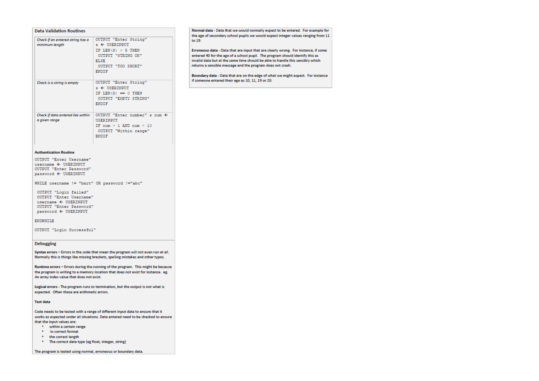| Check if an entered string has a<br>minimum length | OUTPUT "Enter String"<br>$\epsilon$ $\leftarrow$ USERINPUT<br>IF LEN $(S) > 5$ THEN<br>OUTPUT "STRING OK"<br><b>ELSE</b><br>OUTPUT "TOO SHORT"<br><b>ENDIF</b> |
|----------------------------------------------------|----------------------------------------------------------------------------------------------------------------------------------------------------------------|
| Check is a string is empty                         | OUTPUT "Enter String"<br>$s \leftarrow$ USERINPUT<br>IF LEN $(S) == 0$ THEN<br>OUTPUT "EMPTY STRING"<br><b>ENDIF</b>                                           |
| Check if data entered lies within<br>a given range | OUTPUT "Enter number" s num $\leftarrow$<br>USERINPUT<br>IF $num > 1$ AND $num < 10$<br>OUTPUT "Within range"<br><b>ENDIF</b>                                  |

#### **Authentication Routine**

OUTPUT "Enter Username" username  $\leftarrow$  USERINPUT OUTPUT "Enter Password" password < USERINPUT

WHILE username != "bart" OR password !="abc"

OUTPUT "Login failed" OUTPUT "Enter Username" username  $\leftarrow$  USERINPUT OUTPUT "Enter Password"  $password \leftarrow \text{USERINPUT}$ 

#### ENDWHILE

OUTPUT "Login Successful"

#### **Debugging**

Syntax errors - Errors in the code that mean the program will not even run at all. Normally this is things like missing brackets, spelling mistakes and other typos.

Runtime errors - Errors during the running of the program. This might be because the program is writing to a memory location that does not exist for instance. eg. An array index value that does not exist.

Logical errors - The program runs to termination, but the output is not what is expected. Often these are arithmetic errors.

#### **Test data**

Code needs to be tested with a range of different input data to ensure that it works as expected under all situations. Data entered need to be checked to ensure that the input values are:

- within a certain range
- in correct format
- \* the correct length
- . The correct data type (eg float, integer, string)

The program is tested using normal, erroneous or boundary data.

Normal data - Data that we would normally expect to be entered. For example for the age of secondary school pupils we would expect integer values ranging from 11 to 19.

Erroneous data - Data that are input that are clearly wrong. For instance, if some entered 40 for the age of a school pupil. The program should identify this as invalid data but at the same time should be able to handle this sensibly which returns a sensible message and the program does not crash.

Boundary data - Data that are on the edge of what we might expect. For instance if someone entered their age as 10, 11, 19 or 20.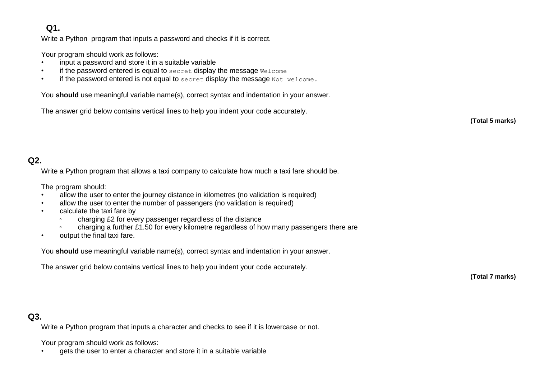# **Q1.**

Write a Python program that inputs a password and checks if it is correct.

Your program should work as follows:

- input a password and store it in a suitable variable
- if the password entered is equal to secret display the message Welcome
- if the password entered is not equal to  $s$ ecret display the message  $Not$  welcome.

You **should** use meaningful variable name(s), correct syntax and indentation in your answer.

The answer grid below contains vertical lines to help you indent your code accurately.

**(Total 5 marks)**

# **Q2.**

Write a Python program that allows a taxi company to calculate how much a taxi fare should be.

The program should:

- allow the user to enter the journey distance in kilometres (no validation is required)
- allow the user to enter the number of passengers (no validation is required)
- calculate the taxi fare by
	- charging £2 for every passenger regardless of the distance
	- charging a further £1.50 for every kilometre regardless of how many passengers there are
- output the final taxi fare.

You **should** use meaningful variable name(s), correct syntax and indentation in your answer.

The answer grid below contains vertical lines to help you indent your code accurately.

**(Total 7 marks)**

# **Q3.**

Write a Python program that inputs a character and checks to see if it is lowercase or not.

Your program should work as follows:

• gets the user to enter a character and store it in a suitable variable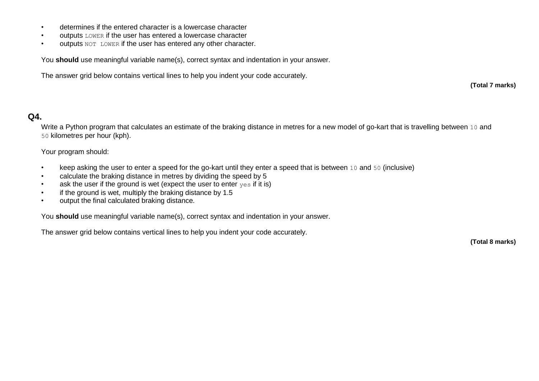- determines if the entered character is a lowercase character
- outputs LOWER if the user has entered a lowercase character
- outputs NOT LOWER if the user has entered any other character.

You **should** use meaningful variable name(s), correct syntax and indentation in your answer.

The answer grid below contains vertical lines to help you indent your code accurately.

**(Total 7 marks)**

# **Q4.**

Write a Python program that calculates an estimate of the braking distance in metres for a new model of go-kart that is travelling between 10 and 50 kilometres per hour (kph).

Your program should:

- keep asking the user to enter a speed for the go-kart until they enter a speed that is between 10 and 50 (inclusive)
- calculate the braking distance in metres by dividing the speed by 5
- ask the user if the ground is wet (expect the user to enter  $y \in S$  if it is)
- if the ground is wet, multiply the braking distance by 1.5
- output the final calculated braking distance.

You **should** use meaningful variable name(s), correct syntax and indentation in your answer.

The answer grid below contains vertical lines to help you indent your code accurately.

**(Total 8 marks)**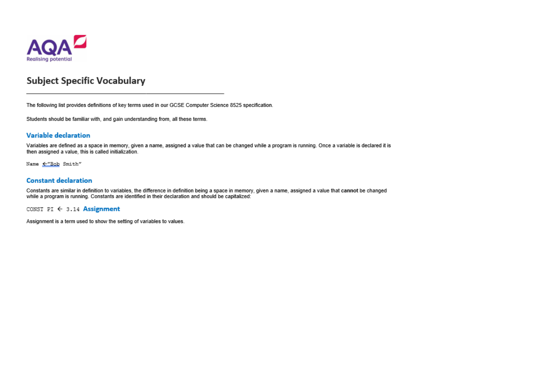

# **Subject Specific Vocabulary**

The following list provides definitions of key terms used in our GCSE Computer Science 8525 specification.

Students should be familiar with, and gain understanding from, all these terms.

## Variable declaration

Variables are defined as a space in memory, given a name, assigned a value that can be changed while a program is running. Once a variable is declared it is then assigned a value, this is called initialization.

Name <"Bob Smith"

## **Constant declaration**

Constants are similar in definition to variables, the difference in definition being a space in memory, given a name, assigned a value that cannot be changed while a program is running. Constants are identified in their declaration and should be capitalized:

CONST PI  $\leftarrow$  3.14 Assignment

Assignment is a term used to show the setting of variables to values.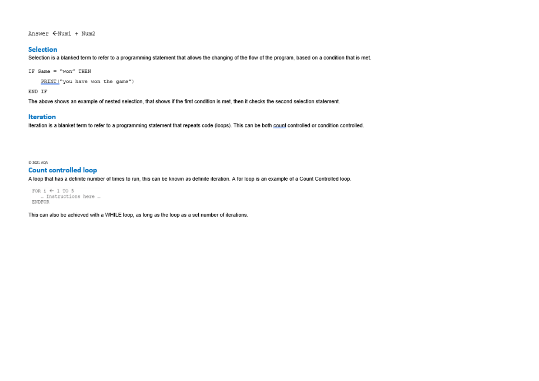Answer  $\leftarrow$ Num1 + Num2

## **Selection**

Selection is a blanked term to refer to a programming statement that allows the changing of the flow of the program, based on a condition that is met.

IF Game = "won" THEN

PRINT("you have won the game")

END IF

The above shows an example of nested selection, that shows if the first condition is met, then it checks the second selection statement.

## **Iteration**

Iteration is a blanket term to refer to a programming statement that repeats code (loops). This can be both count controlled or condition controlled.

C 2021 AGA

## **Count controlled loop**

A loop that has a definite number of times to run, this can be known as definite iteration. A for loop is an example of a Count Controlled loop.

FOR  $i \leftarrow 1$  TO 5 .. Instructions here ... **ENDFOR** 

This can also be achieved with a WHILE loop, as long as the loop as a set number of iterations.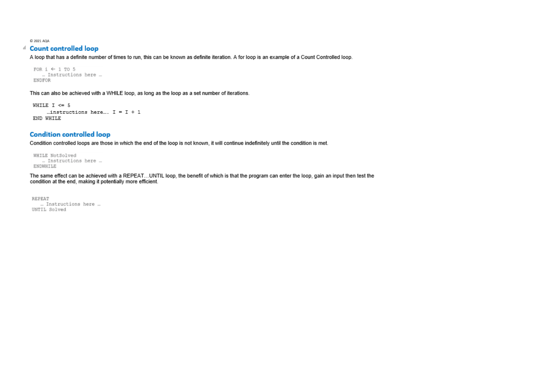C 2021 AQA

## 4 Count controlled loop

A loop that has a definite number of times to run, this can be known as definite iteration. A for loop is an example of a Count Controlled loop.

```
FOR i \leftarrow 1 TO 5
   .. Instructions here ...
ENDFOR
```
This can also be achieved with a WHILE loop, as long as the loop as a set number of iterations.

```
WHILE I \leq 5... instructions here... I = I + 1END WHILE
```
## **Condition controlled loop**

Condition controlled loops are those in which the end of the loop is not known, it will continue indefinitely until the condition is met.

```
WHILE NotSolved
   .. Instructions here ...
ENDWHILE
```
The same effect can be achieved with a REPEAT...UNTIL loop, the benefit of which is that the program can enter the loop, gain an input then test the condition at the end, making it potentially more efficient.

REPEAT ... Instructions here ... UNTIL Solved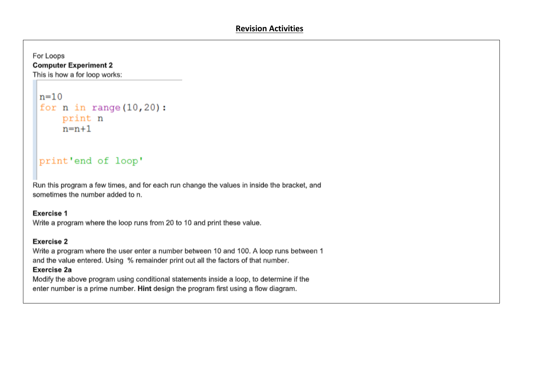# For Loops **Computer Experiment 2**

This is how a for loop works:

```
n=10for n in range (10, 20):
    print n
    n=n+1
```
# print'end of loop'

Run this program a few times, and for each run change the values in inside the bracket, and sometimes the number added to n.

## Exercise 1

Write a program where the loop runs from 20 to 10 and print these value.

# Exercise 2

Write a program where the user enter a number between 10 and 100. A loop runs between 1 and the value entered. Using % remainder print out all the factors of that number.

# Exercise 2a

Modify the above program using conditional statements inside a loop, to determine if the enter number is a prime number. Hint design the program first using a flow diagram.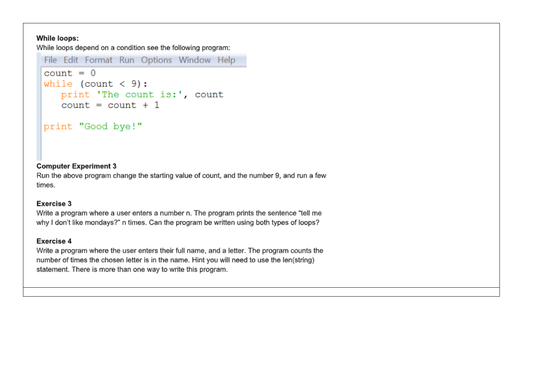## **While loops:**

While loops depend on a condition see the following program:

```
File Edit Format Run Options Window Help
count = 0while \text{(count} < 9):
   print 'The count is:', count
   count = count + 1
```
# print "Good bye!"

# **Computer Experiment 3**

Run the above program change the starting value of count, and the number 9, and run a few times.

# Exercise 3

Write a program where a user enters a number n. The program prints the sentence "tell me why I don't like mondays?" n times. Can the program be written using both types of loops?

# Exercise 4

Write a program where the user enters their full name, and a letter. The program counts the number of times the chosen letter is in the name. Hint you will need to use the len(string) statement. There is more than one way to write this program.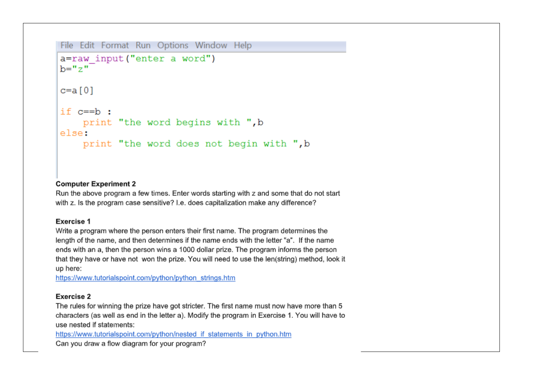```
File Edit Format Run Options Window Help
a=raw input ("enter a word")
h ="z"
c=a [0]
if c == b:
    print "the word begins with ", b
else:
    print "the word does not begin with ", b
```
## **Computer Experiment 2**

Run the above program a few times. Enter words starting with z and some that do not start with z. Is the program case sensitive? I.e. does capitalization make any difference?

## **Exercise 1**

Write a program where the person enters their first name. The program determines the length of the name, and then determines if the name ends with the letter "a". If the name ends with an a, then the person wins a 1000 dollar prize. The program informs the person that they have or have not won the prize. You will need to use the len(string) method, look it up here:

https://www.tutorialspoint.com/python/python\_strings.htm

## Exercise 2

The rules for winning the prize have got stricter. The first name must now have more than 5 characters (as well as end in the letter a). Modify the program in Exercise 1. You will have to use nested if statements:

https://www.tutorialspoint.com/python/nested if statements in python.htm

Can you draw a flow diagram for your program?